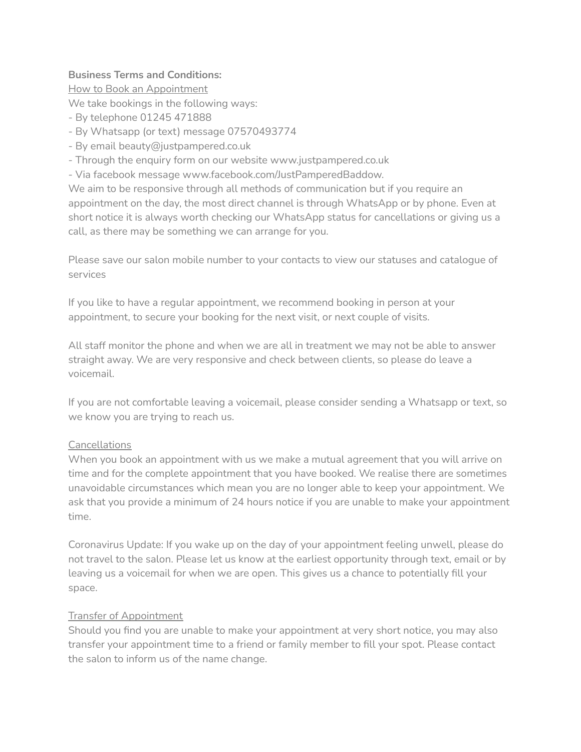### **Business Terms and Conditions:**

How to Book an Appointment

We take bookings in the following ways:

- By telephone 01245 471888
- By Whatsapp (or text) message 07570493774
- By email beauty@justpampered.co.uk
- Through the enquiry form on our website www.justpampered.co.uk
- Via facebook message www.facebook.com/JustPamperedBaddow.

We aim to be responsive through all methods of communication but if you require an appointment on the day, the most direct channel is through WhatsApp or by phone. Even at short notice it is always worth checking our WhatsApp status for cancellations or giving us a call, as there may be something we can arrange for you.

Please save our salon mobile number to your contacts to view our statuses and catalogue of services

If you like to have a regular appointment, we recommend booking in person at your appointment, to secure your booking for the next visit, or next couple of visits.

All staff monitor the phone and when we are all in treatment we may not be able to answer straight away. We are very responsive and check between clients, so please do leave a voicemail.

If you are not comfortable leaving a voicemail, please consider sending a Whatsapp or text, so we know you are trying to reach us.

# Cancellations

When you book an appointment with us we make a mutual agreement that you will arrive on time and for the complete appointment that you have booked. We realise there are sometimes unavoidable circumstances which mean you are no longer able to keep your appointment. We ask that you provide a minimum of 24 hours notice if you are unable to make your appointment time.

Coronavirus Update: If you wake up on the day of your appointment feeling unwell, please do not travel to the salon. Please let us know at the earliest opportunity through text, email or by leaving us a voicemail for when we are open. This gives us a chance to potentially fill your space.

# Transfer of Appointment

Should you find you are unable to make your appointment at very short notice, you may also transfer your appointment time to a friend or family member to fill your spot. Please contact the salon to inform us of the name change.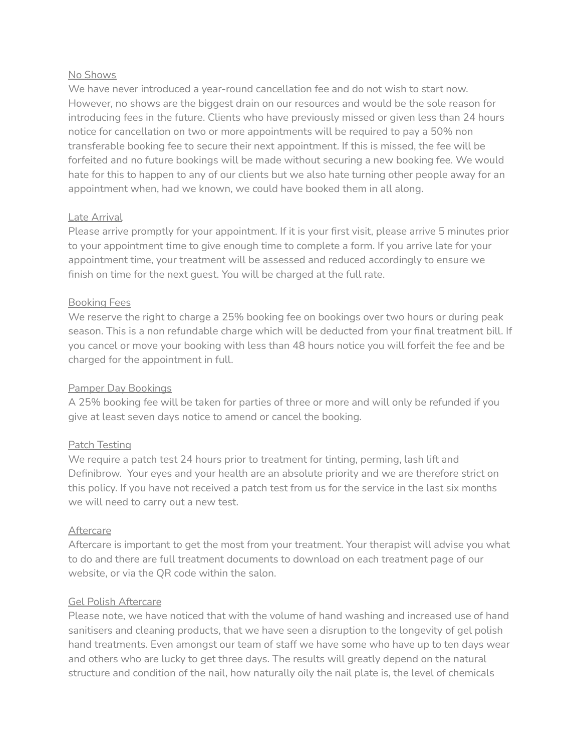### No Shows

We have never introduced a year-round cancellation fee and do not wish to start now. However, no shows are the biggest drain on our resources and would be the sole reason for introducing fees in the future. Clients who have previously missed or given less than 24 hours notice for cancellation on two or more appointments will be required to pay a 50% non transferable booking fee to secure their next appointment. If this is missed, the fee will be forfeited and no future bookings will be made without securing a new booking fee. We would hate for this to happen to any of our clients but we also hate turning other people away for an appointment when, had we known, we could have booked them in all along.

### Late Arrival

Please arrive promptly for your appointment. If it is your first visit, please arrive 5 minutes prior to your appointment time to give enough time to complete a form. If you arrive late for your appointment time, your treatment will be assessed and reduced accordingly to ensure we finish on time for the next guest. You will be charged at the full rate.

#### Booking Fees

We reserve the right to charge a 25% booking fee on bookings over two hours or during peak season. This is a non refundable charge which will be deducted from your final treatment bill. If you cancel or move your booking with less than 48 hours notice you will forfeit the fee and be charged for the appointment in full.

### Pamper Day Bookings

A 25% booking fee will be taken for parties of three or more and will only be refunded if you give at least seven days notice to amend or cancel the booking.

#### Patch Testing

We require a patch test 24 hours prior to treatment for tinting, perming, lash lift and Definibrow. Your eyes and your health are an absolute priority and we are therefore strict on this policy. If you have not received a patch test from us for the service in the last six months we will need to carry out a new test.

#### Aftercare

Aftercare is important to get the most from your treatment. Your therapist will advise you what to do and there are full treatment documents to download on each treatment page of our website, or via the QR code within the salon.

#### Gel Polish Aftercare

Please note, we have noticed that with the volume of hand washing and increased use of hand sanitisers and cleaning products, that we have seen a disruption to the longevity of gel polish hand treatments. Even amongst our team of staff we have some who have up to ten days wear and others who are lucky to get three days. The results will greatly depend on the natural structure and condition of the nail, how naturally oily the nail plate is, the level of chemicals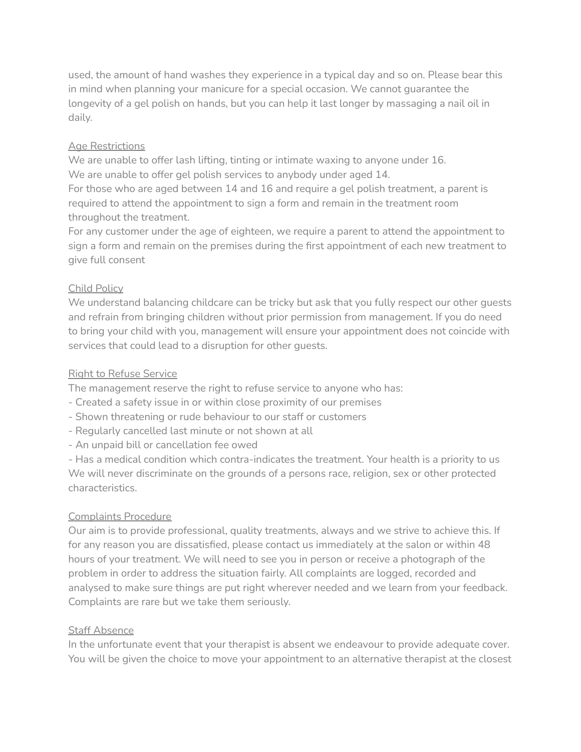used, the amount of hand washes they experience in a typical day and so on. Please bear this in mind when planning your manicure for a special occasion. We cannot guarantee the longevity of a gel polish on hands, but you can help it last longer by massaging a nail oil in daily.

## Age Restrictions

We are unable to offer lash lifting, tinting or intimate waxing to anyone under 16. We are unable to offer gel polish services to anybody under aged 14.

For those who are aged between 14 and 16 and require a gel polish treatment, a parent is required to attend the appointment to sign a form and remain in the treatment room throughout the treatment.

For any customer under the age of eighteen, we require a parent to attend the appointment to sign a form and remain on the premises during the first appointment of each new treatment to give full consent

### Child Policy

We understand balancing childcare can be tricky but ask that you fully respect our other guests and refrain from bringing children without prior permission from management. If you do need to bring your child with you, management will ensure your appointment does not coincide with services that could lead to a disruption for other guests.

## Right to Refuse Service

The management reserve the right to refuse service to anyone who has:

- Created a safety issue in or within close proximity of our premises
- Shown threatening or rude behaviour to our staff or customers
- Regularly cancelled last minute or not shown at all
- An unpaid bill or cancellation fee owed

- Has a medical condition which contra-indicates the treatment. Your health is a priority to us We will never discriminate on the grounds of a persons race, religion, sex or other protected characteristics.

# Complaints Procedure

Our aim is to provide professional, quality treatments, always and we strive to achieve this. If for any reason you are dissatisfied, please contact us immediately at the salon or within 48 hours of your treatment. We will need to see you in person or receive a photograph of the problem in order to address the situation fairly. All complaints are logged, recorded and analysed to make sure things are put right wherever needed and we learn from your feedback. Complaints are rare but we take them seriously.

### Staff Absence

In the unfortunate event that your therapist is absent we endeavour to provide adequate cover. You will be given the choice to move your appointment to an alternative therapist at the closest